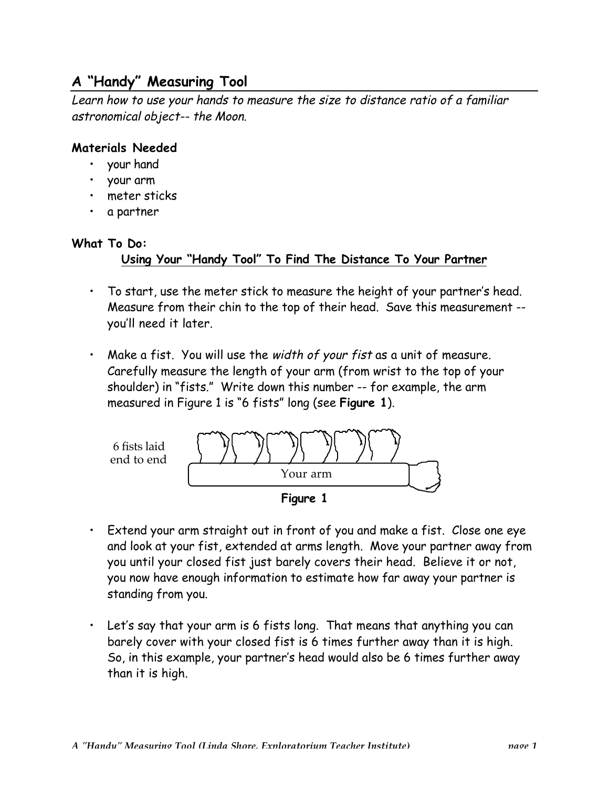# **A "Handy" Measuring Tool**

Learn how to use your hands to measure the size to distance ratio of a familiar astronomical object-- the Moon.

#### **Materials Needed**

- your hand
- your arm
- meter sticks
- a partner

### **What To Do:**

### **Using Your "Handy Tool" To Find The Distance To Your Partner**

- To start, use the meter stick to measure the height of your partner's head. Measure from their chin to the top of their head. Save this measurement - you'll need it later.
- Make a fist. You will use the width of your fist as a unit of measure. Carefully measure the length of your arm (from wrist to the top of your shoulder) in "fists." Write down this number -- for example, the arm measured in Figure 1 is "6 fists" long (see **Figure 1**).





- Extend your arm straight out in front of you and make a fist. Close one eye and look at your fist, extended at arms length. Move your partner away from you until your closed fist just barely covers their head. Believe it or not, you now have enough information to estimate how far away your partner is standing from you.
- Let's say that your arm is 6 fists long. That means that anything you can barely cover with your closed fist is 6 times further away than it is high. So, in this example, your partner's head would also be 6 times further away than it is high.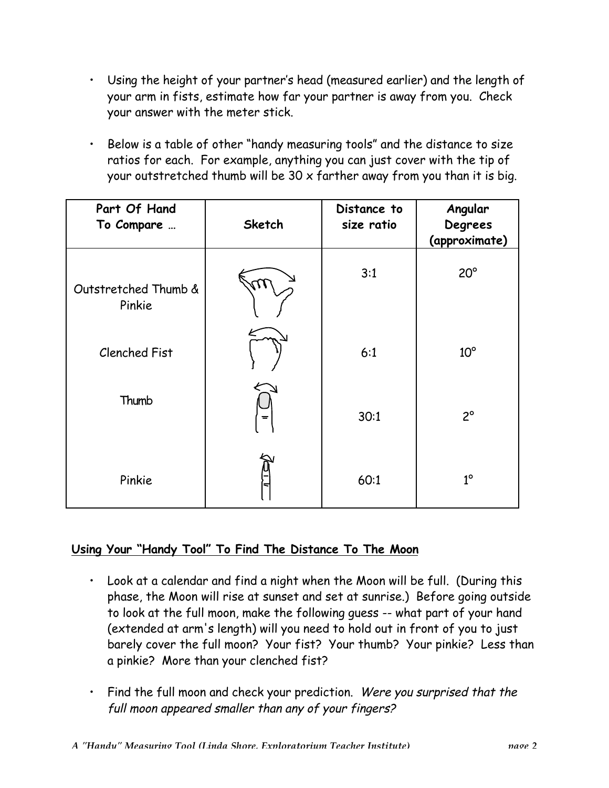- Using the height of your partner's head (measured earlier) and the length of your arm in fists, estimate how far your partner is away from you. Check your answer with the meter stick.
- Below is a table of other "handy measuring tools" and the distance to size ratios for each. For example, anything you can just cover with the tip of your outstretched thumb will be 30 x farther away from you than it is big.

| Part Of Hand<br>To Compare     | <b>Sketch</b> | Distance to<br>size ratio | Angular<br>Degrees<br>(approximate) |
|--------------------------------|---------------|---------------------------|-------------------------------------|
| Outstretched Thumb &<br>Pinkie | 17            | 3:1                       | $20^{\circ}$                        |
| <b>Clenched Fist</b>           |               | 6:1                       | $10^{\circ}$                        |
| Thumb                          | $=$           | 30:1                      | $2^{\circ}$                         |
| Pinkie                         |               | 60:1                      | $1^\circ$                           |

## **Using Your "Handy Tool" To Find The Distance To The Moon**

- Look at a calendar and find a night when the Moon will be full. (During this phase, the Moon will rise at sunset and set at sunrise.) Before going outside to look at the full moon, make the following guess -- what part of your hand (extended at arm's length) will you need to hold out in front of you to just barely cover the full moon? Your fist? Your thumb? Your pinkie? Less than a pinkie? More than your clenched fist?
- Find the full moon and check your prediction. Were you surprised that the full moon appeared smaller than any of your fingers?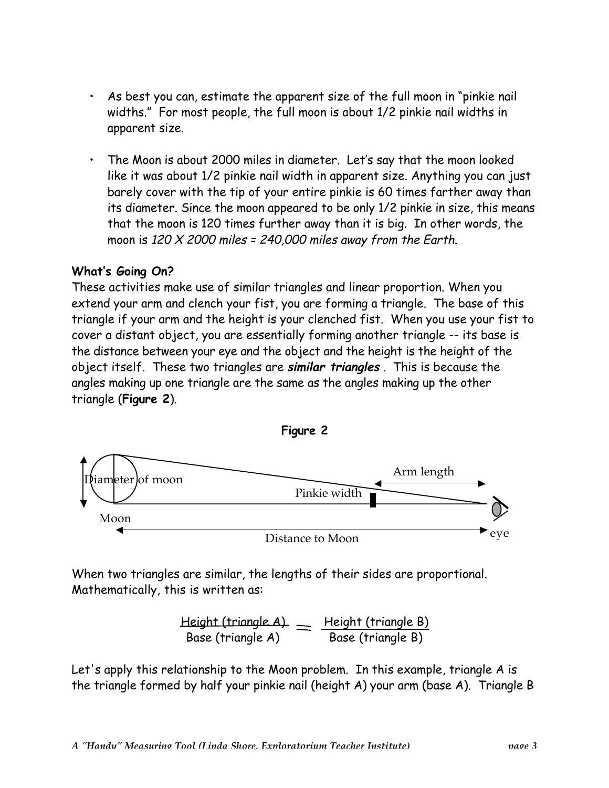- As best you can, estimate the apparent size of the full moon in "pinkie nail widths." For most people, the full moon is about 1/2 pinkie nail widths in apparent size.
- The Moon is about 2000 miles in diameter. Let's say that the moon looked like it was about 1/2 pinkie nail width in apparent size. Anything you can just barely cover with the tip of your entire pinkie is 60 times farther away than its diameter. Since the moon appeared to be only 1/2 pinkie in size, this means that the moon is 120 times further away than it is big. In other words, the moon is 120  $X$  2000 miles = 240,000 miles away from the Earth.

### **What's Going On?**

These activities make use of similar triangles and linear proportion. When you extend your arm and clench your fist, you are forming a triangle. The base of this triangle if your arm and the height is your clenched fist. When you use your fist to cover a distant object, you are essentially forming another triangle -- its base is the distance between your eye and the object and the height is the height of the object itself. These two triangles are **similar triangles** . This is because the angles making up one triangle are the same as the angles making up the other triangle (**Figure 2**).



When two triangles are similar, the lengths of their sides are proportional. Mathematically, this is written as:

Height (triangle A) Height (triangle B) Base (triangle A) Base (triangle B)

Let's apply this relationship to the Moon problem. In this example, triangle A is the triangle formed by half your pinkie nail (height A) your arm (base A). Triangle B